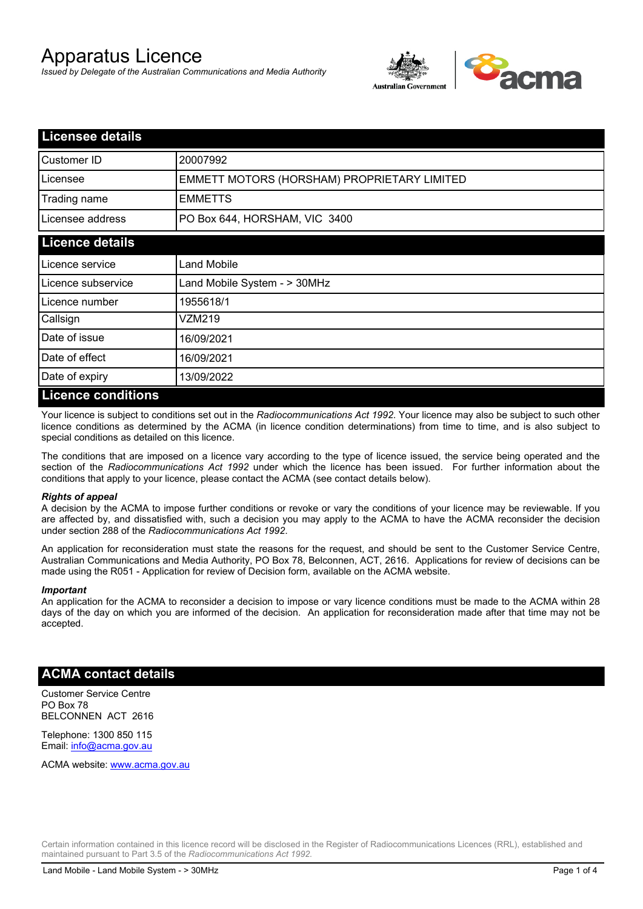# Apparatus Licence

*Issued by Delegate of the Australian Communications and Media Authority*



| <b>Licensee details</b> |                                             |  |
|-------------------------|---------------------------------------------|--|
| Customer ID             | 20007992                                    |  |
| Licensee                | EMMETT MOTORS (HORSHAM) PROPRIETARY LIMITED |  |
| Trading name            | <b>EMMETTS</b>                              |  |
| Licensee address        | PO Box 644, HORSHAM, VIC 3400               |  |
| <b>Licence details</b>  |                                             |  |
| Licence service         | <b>Land Mobile</b>                          |  |
| Licence subservice      | Land Mobile System - > 30MHz                |  |
| Licence number          | 1955618/1                                   |  |
| Callsign                | VZM219                                      |  |
| Date of issue           | 16/09/2021                                  |  |
| Date of effect          | 16/09/2021                                  |  |
| Date of expiry          | 13/09/2022                                  |  |
| Licance conditions      |                                             |  |

#### **Licence conditions**

Your licence is subject to conditions set out in the *Radiocommunications Act 1992*. Your licence may also be subject to such other licence conditions as determined by the ACMA (in licence condition determinations) from time to time, and is also subject to special conditions as detailed on this licence.

The conditions that are imposed on a licence vary according to the type of licence issued, the service being operated and the section of the *Radiocommunications Act 1992* under which the licence has been issued. For further information about the conditions that apply to your licence, please contact the ACMA (see contact details below).

#### *Rights of appeal*

A decision by the ACMA to impose further conditions or revoke or vary the conditions of your licence may be reviewable. If you are affected by, and dissatisfied with, such a decision you may apply to the ACMA to have the ACMA reconsider the decision under section 288 of the *Radiocommunications Act 1992*.

An application for reconsideration must state the reasons for the request, and should be sent to the Customer Service Centre, Australian Communications and Media Authority, PO Box 78, Belconnen, ACT, 2616. Applications for review of decisions can be made using the R051 - Application for review of Decision form, available on the ACMA website.

#### *Important*

An application for the ACMA to reconsider a decision to impose or vary licence conditions must be made to the ACMA within 28 days of the day on which you are informed of the decision. An application for reconsideration made after that time may not be accepted.

#### **ACMA contact details**

Customer Service Centre PO Box 78 BELCONNEN ACT 2616

Telephone: 1300 850 115 Email: info@acma.gov.au

ACMA website: www.acma.gov.au

Certain information contained in this licence record will be disclosed in the Register of Radiocommunications Licences (RRL), established and maintained pursuant to Part 3.5 of the *Radiocommunications Act 1992.*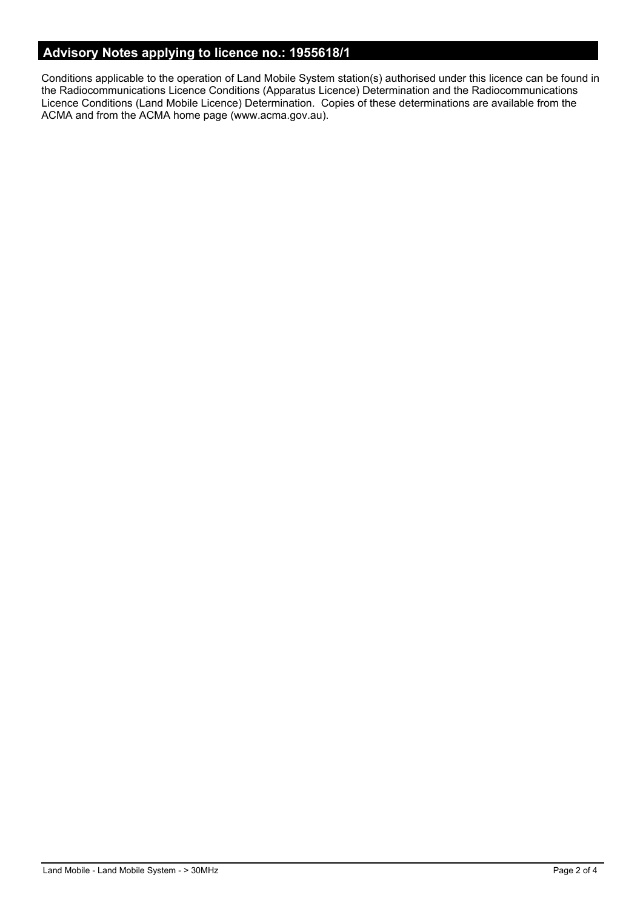# **Advisory Notes applying to licence no.: 1955618/1**

Conditions applicable to the operation of Land Mobile System station(s) authorised under this licence can be found in the Radiocommunications Licence Conditions (Apparatus Licence) Determination and the Radiocommunications Licence Conditions (Land Mobile Licence) Determination. Copies of these determinations are available from the ACMA and from the ACMA home page (www.acma.gov.au).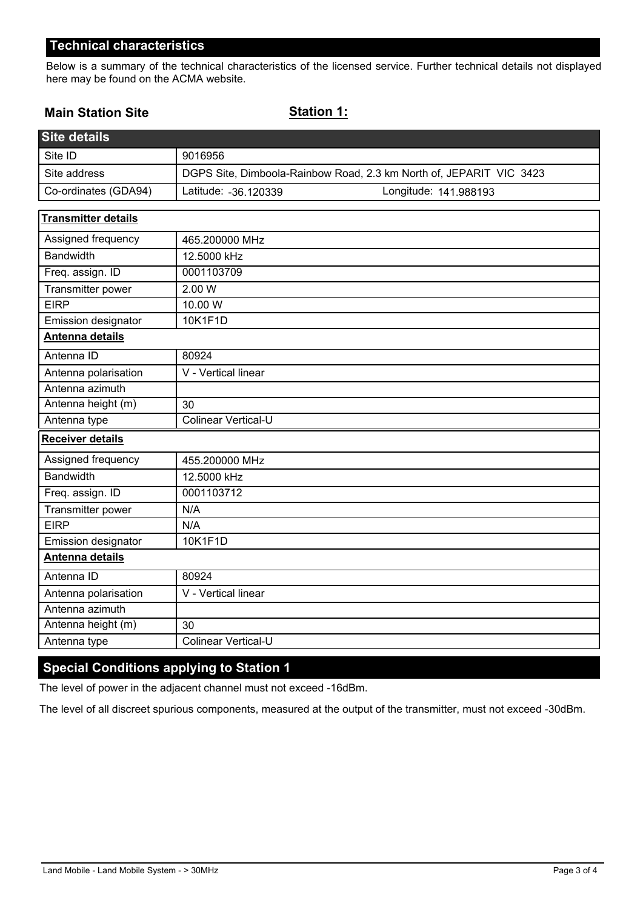## **Technical characteristics**

Below is a summary of the technical characteristics of the licensed service. Further technical details not displayed here may be found on the ACMA website.

## **Main Station Site**

### **Station 1:**

| <b>Site details</b>        |                                                                     |  |
|----------------------------|---------------------------------------------------------------------|--|
| Site ID                    | 9016956                                                             |  |
| Site address               | DGPS Site, Dimboola-Rainbow Road, 2.3 km North of, JEPARIT VIC 3423 |  |
| Co-ordinates (GDA94)       | Latitude: -36.120339<br>Longitude: 141.988193                       |  |
| <b>Transmitter details</b> |                                                                     |  |
| Assigned frequency         | 465.200000 MHz                                                      |  |
| <b>Bandwidth</b>           | 12.5000 kHz                                                         |  |
| Freq. assign. ID           | 0001103709                                                          |  |
| Transmitter power          | 2.00 W                                                              |  |
| <b>EIRP</b>                | 10.00 W                                                             |  |
| Emission designator        | 10K1F1D                                                             |  |
| Antenna details            |                                                                     |  |
| Antenna ID                 | 80924                                                               |  |
| Antenna polarisation       | V - Vertical linear                                                 |  |
| Antenna azimuth            |                                                                     |  |
| Antenna height (m)         | 30                                                                  |  |
| Antenna type               | <b>Colinear Vertical-U</b>                                          |  |
| <b>Receiver details</b>    |                                                                     |  |
| Assigned frequency         | 455.200000 MHz                                                      |  |
| <b>Bandwidth</b>           | 12.5000 kHz                                                         |  |
| Freq. assign. ID           | 0001103712                                                          |  |
| Transmitter power          | N/A                                                                 |  |
| <b>EIRP</b>                | N/A                                                                 |  |
| Emission designator        | 10K1F1D                                                             |  |
| Antenna details            |                                                                     |  |
| Antenna ID                 | 80924                                                               |  |
| Antenna polarisation       | V - Vertical linear                                                 |  |
| Antenna azimuth            |                                                                     |  |
| Antenna height (m)         | 30                                                                  |  |
| Antenna type               | <b>Colinear Vertical-U</b>                                          |  |

# **Special Conditions applying to Station 1**

The level of power in the adjacent channel must not exceed -16dBm.

The level of all discreet spurious components, measured at the output of the transmitter, must not exceed -30dBm.